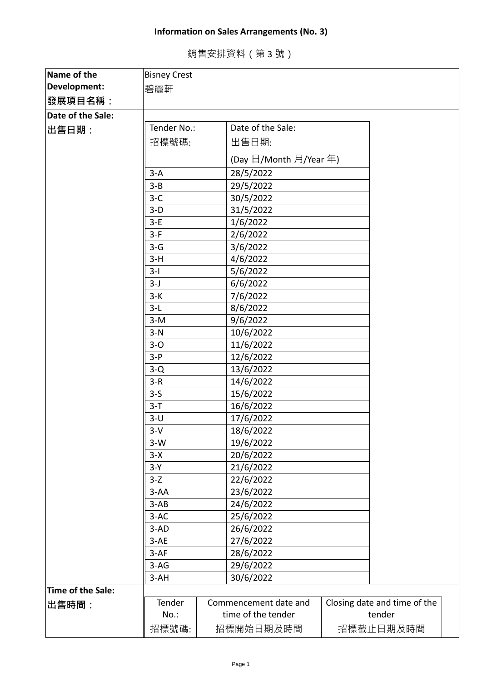## **Information on Sales Arrangements (No. 3)**

銷售安排資料(第 3 號)

| Name of the       | <b>Bisney Crest</b> |  |                        |                              |  |
|-------------------|---------------------|--|------------------------|------------------------------|--|
| Development:      | 碧麗軒                 |  |                        |                              |  |
| 發展項目名稱:           |                     |  |                        |                              |  |
| Date of the Sale: |                     |  |                        |                              |  |
| 出售日期:             | Tender No.:         |  | Date of the Sale:      |                              |  |
|                   | 招標號碼:               |  | 出售日期:                  |                              |  |
|                   |                     |  |                        |                              |  |
|                   |                     |  | (Day 日/Month 月/Year 年) |                              |  |
|                   | $3-A$               |  | 28/5/2022              |                              |  |
|                   | $3 - B$             |  | 29/5/2022              |                              |  |
|                   | $3-C$               |  | 30/5/2022              |                              |  |
|                   | $3-D$               |  | 31/5/2022              |                              |  |
|                   | $3-E$               |  | 1/6/2022               |                              |  |
|                   | $3-F$               |  | 2/6/2022               |                              |  |
|                   | $3-G$               |  | 3/6/2022               |                              |  |
|                   | $3-H$               |  | 4/6/2022               |                              |  |
|                   | $3-I$               |  | 5/6/2022               |                              |  |
|                   | $3-J$               |  | 6/6/2022               |                              |  |
|                   | $3-K$               |  | 7/6/2022               |                              |  |
|                   | $3-L$               |  | 8/6/2022               |                              |  |
|                   | $3-M$               |  | 9/6/2022               |                              |  |
|                   | $3-N$               |  | 10/6/2022              |                              |  |
|                   | $3-0$               |  | 11/6/2022              |                              |  |
|                   | $3-P$               |  | 12/6/2022              |                              |  |
|                   | $3-Q$               |  | 13/6/2022              |                              |  |
|                   | $3-R$               |  | 14/6/2022              |                              |  |
|                   | $3-5$               |  | 15/6/2022              |                              |  |
|                   | $3-T$               |  | 16/6/2022              |                              |  |
|                   | $3-U$               |  | 17/6/2022              |                              |  |
|                   | $3-V$               |  | 18/6/2022              |                              |  |
|                   | $3-W$               |  | 19/6/2022              |                              |  |
|                   | $3-X$               |  | 20/6/2022              |                              |  |
|                   | $3-Y$               |  | 21/6/2022              |                              |  |
|                   | $3-Z$               |  | 22/6/2022              |                              |  |
|                   | $3-AA$              |  | 23/6/2022              |                              |  |
|                   | $3-AB$              |  | 24/6/2022              |                              |  |
|                   | $3-AC$              |  | 25/6/2022              |                              |  |
|                   | $3-AD$              |  | 26/6/2022              |                              |  |
|                   | $3-AE$              |  | 27/6/2022              |                              |  |
|                   | $3-AF$              |  | 28/6/2022              |                              |  |
|                   | $3-AG$              |  | 29/6/2022              |                              |  |
|                   | $3-AH$              |  | 30/6/2022              |                              |  |
| Time of the Sale: |                     |  |                        |                              |  |
| 出售時間:             | Tender              |  | Commencement date and  | Closing date and time of the |  |
|                   | $No.$ :             |  | time of the tender     | tender                       |  |
|                   | 招標號碼:               |  | 招標開始日期及時間              | 招標截止日期及時間                    |  |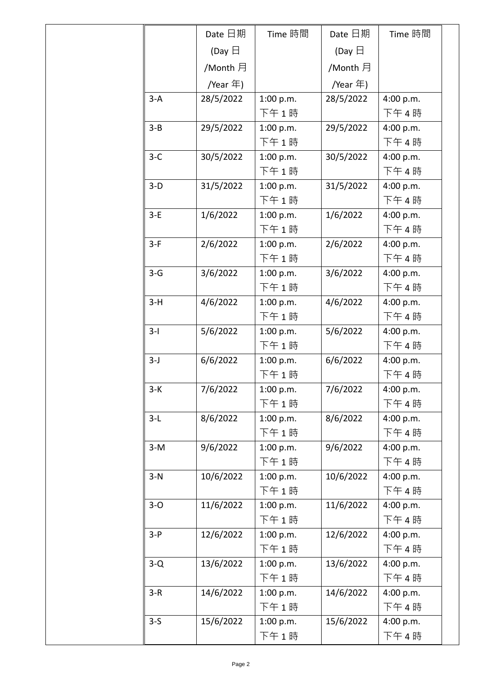|         | Date 日期          | Time 時間   | Date 日期          | Time 時間   |
|---------|------------------|-----------|------------------|-----------|
|         | (Day $\boxminus$ |           | (Day $\boxminus$ |           |
|         | /Month 月         |           | /Month 月         |           |
|         | /Year 年)         |           | /Year $\pm$ )    |           |
| $3-A$   | 28/5/2022        | 1:00 p.m. | 28/5/2022        | 4:00 p.m. |
|         |                  | 下午1時      |                  | 下午4時      |
| $3 - B$ | 29/5/2022        | 1:00 p.m. | 29/5/2022        | 4:00 p.m. |
|         |                  | 下午1時      |                  | 下午4時      |
| $3-C$   | 30/5/2022        | 1:00 p.m. | 30/5/2022        | 4:00 p.m. |
|         |                  | 下午1時      |                  | 下午4時      |
| $3-D$   | 31/5/2022        | 1:00 p.m. | 31/5/2022        | 4:00 p.m. |
|         |                  | 下午1時      |                  | 下午4時      |
| $3-E$   | 1/6/2022         | 1:00 p.m. | 1/6/2022         | 4:00 p.m. |
|         |                  | 下午1時      |                  | 下午4時      |
| $3-F$   | 2/6/2022         | 1:00 p.m. | 2/6/2022         | 4:00 p.m. |
|         |                  | 下午1時      |                  | 下午4時      |
| $3-G$   | 3/6/2022         | 1:00 p.m. | 3/6/2022         | 4:00 p.m. |
|         |                  | 下午1時      |                  | 下午4時      |
| $3-H$   | 4/6/2022         | 1:00 p.m. | 4/6/2022         | 4:00 p.m. |
|         |                  | 下午1時      |                  | 下午4時      |
| $3-I$   | 5/6/2022         | 1:00 p.m. | 5/6/2022         | 4:00 p.m. |
|         |                  | 下午1時      |                  | 下午4時      |
| $3-J$   | 6/6/2022         | 1:00 p.m. | 6/6/2022         | 4:00 p.m. |
|         |                  | 下午1時      |                  | 下午4時      |
| $3-K$   | 7/6/2022         | 1:00 p.m. | 7/6/2022         | 4:00 p.m. |
|         |                  | 下午1時      |                  | 下午4時      |
| $3-L$   | 8/6/2022         | 1:00 p.m. | 8/6/2022         | 4:00 p.m. |
|         |                  | 下午1時      |                  | 下午4時      |
| $3-M$   | 9/6/2022         | 1:00 p.m. | 9/6/2022         | 4:00 p.m. |
|         |                  | 下午1時      |                  | 下午4時      |
| $3-N$   | 10/6/2022        | 1:00 p.m. | 10/6/2022        | 4:00 p.m. |
|         |                  | 下午1時      |                  | 下午4時      |
| $3-0$   | 11/6/2022        | 1:00 p.m. | 11/6/2022        | 4:00 p.m. |
|         |                  | 下午1時      |                  | 下午4時      |
| $3-P$   | 12/6/2022        | 1:00 p.m. | 12/6/2022        | 4:00 p.m. |
|         |                  | 下午1時      |                  | 下午4時      |
| $3-Q$   | 13/6/2022        | 1:00 p.m. | 13/6/2022        | 4:00 p.m. |
|         |                  | 下午1時      |                  | 下午4時      |
| $3-R$   | 14/6/2022        | 1:00 p.m. | 14/6/2022        | 4:00 p.m. |
|         |                  | 下午1時      |                  | 下午4時      |
| $3-5$   | 15/6/2022        | 1:00 p.m. | 15/6/2022        | 4:00 p.m. |
|         |                  | 下午1時      |                  | 下午4時      |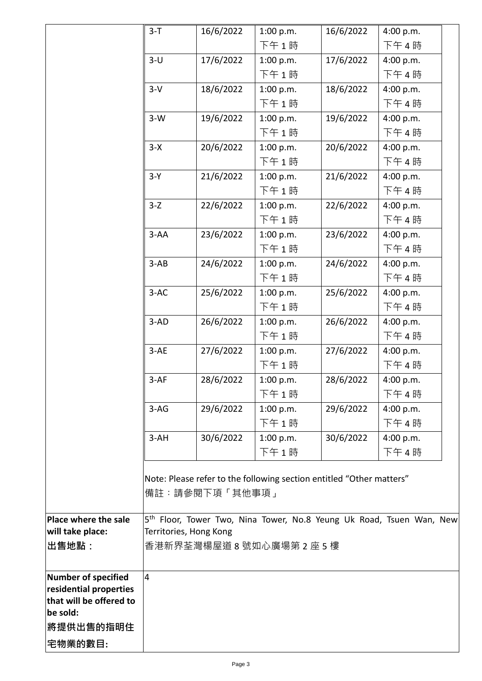|                                     | $3-T$                  | 16/6/2022      | 1:00 p.m.                                                            | 16/6/2022 | 4:00 p.m.                                                                        |  |
|-------------------------------------|------------------------|----------------|----------------------------------------------------------------------|-----------|----------------------------------------------------------------------------------|--|
|                                     |                        |                | 下午1時                                                                 |           | 下午4時                                                                             |  |
|                                     | $3-U$                  | 17/6/2022      | 1:00 p.m.                                                            | 17/6/2022 | 4:00 p.m.                                                                        |  |
|                                     |                        |                | 下午1時                                                                 |           | 下午4時                                                                             |  |
|                                     | $3-V$                  | 18/6/2022      | 1:00 p.m.                                                            | 18/6/2022 | 4:00 p.m.                                                                        |  |
|                                     |                        |                | 下午1時                                                                 |           | 下午4時                                                                             |  |
|                                     | $3-W$                  | 19/6/2022      | 1:00 p.m.                                                            | 19/6/2022 | 4:00 p.m.                                                                        |  |
|                                     |                        |                | 下午1時                                                                 |           | 下午4時                                                                             |  |
|                                     | $3-X$                  | 20/6/2022      | 1:00 p.m.                                                            | 20/6/2022 | 4:00 p.m.                                                                        |  |
|                                     |                        |                | 下午1時                                                                 |           | 下午4時                                                                             |  |
|                                     | $3-Y$                  | 21/6/2022      | 1:00 p.m.                                                            | 21/6/2022 | 4:00 p.m.                                                                        |  |
|                                     |                        |                | 下午1時                                                                 |           | 下午4時                                                                             |  |
|                                     | $3-Z$                  | 22/6/2022      | 1:00 p.m.                                                            | 22/6/2022 | 4:00 p.m.                                                                        |  |
|                                     |                        |                | 下午1時                                                                 |           | 下午4時                                                                             |  |
|                                     | $3-AA$                 | 23/6/2022      | 1:00 p.m.                                                            | 23/6/2022 | 4:00 p.m.                                                                        |  |
|                                     |                        |                | 下午1時                                                                 |           | 下午4時                                                                             |  |
|                                     | $3-AB$                 | 24/6/2022      | 1:00 p.m.                                                            | 24/6/2022 | 4:00 p.m.                                                                        |  |
|                                     |                        |                | 下午1時                                                                 |           | 下午4時                                                                             |  |
|                                     | $3-AC$                 | 25/6/2022      | 1:00 p.m.                                                            | 25/6/2022 | 4:00 p.m.                                                                        |  |
|                                     |                        |                | 下午1時                                                                 |           | 下午4時                                                                             |  |
|                                     | $3-AD$                 | 26/6/2022      | 1:00 p.m.                                                            | 26/6/2022 | 4:00 p.m.                                                                        |  |
|                                     |                        |                | 下午1時                                                                 |           | 下午4時                                                                             |  |
|                                     | $3-AE$                 | 27/6/2022      | 1:00 p.m.                                                            | 27/6/2022 | 4:00 p.m.                                                                        |  |
|                                     |                        |                | 下午1時                                                                 |           | 下午4時                                                                             |  |
|                                     | $3-AF$                 | 28/6/2022      | 1:00 p.m.                                                            | 28/6/2022 | 4:00 p.m.                                                                        |  |
|                                     |                        |                | 下午1時                                                                 |           | 下午4時                                                                             |  |
|                                     | $3-AG$                 | 29/6/2022      | 1:00 p.m.                                                            | 29/6/2022 | 4:00 p.m.                                                                        |  |
|                                     |                        |                | 下午1時                                                                 |           | 下午4時                                                                             |  |
|                                     | $3-AH$                 | 30/6/2022      | 1:00 p.m.                                                            | 30/6/2022 | 4:00 p.m.                                                                        |  |
|                                     |                        |                | 下午1時                                                                 |           | 下午4時                                                                             |  |
|                                     |                        |                |                                                                      |           |                                                                                  |  |
|                                     |                        |                | Note: Please refer to the following section entitled "Other matters" |           |                                                                                  |  |
|                                     |                        | 備註:請參閱下項「其他事項」 |                                                                      |           |                                                                                  |  |
|                                     |                        |                |                                                                      |           |                                                                                  |  |
| Place where the sale                |                        |                |                                                                      |           | 5 <sup>th</sup> Floor, Tower Two, Nina Tower, No.8 Yeung Uk Road, Tsuen Wan, New |  |
| will take place:                    | Territories, Hong Kong |                |                                                                      |           |                                                                                  |  |
| ∣出售地點:                              |                        |                | 香港新界荃灣楊屋道 8 號如心廣場第 2 座 5 樓                                           |           |                                                                                  |  |
|                                     |                        |                |                                                                      |           |                                                                                  |  |
| Number of specified                 | $\overline{4}$         |                |                                                                      |           |                                                                                  |  |
| residential properties              |                        |                |                                                                      |           |                                                                                  |  |
| that will be offered to<br>be sold: |                        |                |                                                                      |           |                                                                                  |  |
|                                     |                        |                |                                                                      |           |                                                                                  |  |
| 將提供出售的指明住                           |                        |                |                                                                      |           |                                                                                  |  |
| 宅物業的數目:                             |                        |                |                                                                      |           |                                                                                  |  |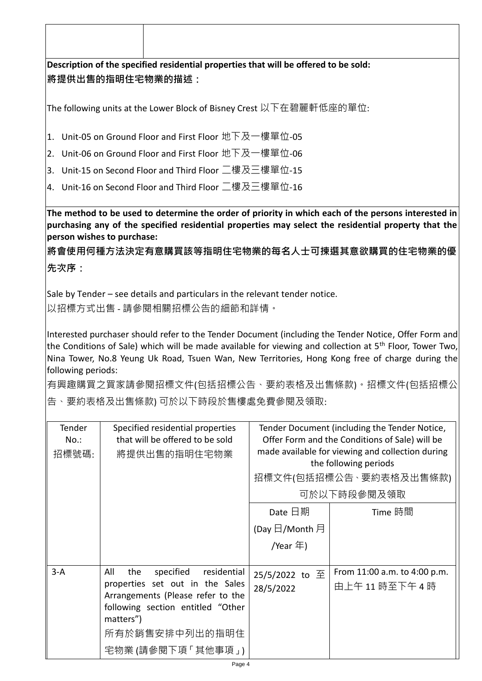| Description of the specified residential properties that will be offered to be sold:<br><b> 將提供出售的指明住宅物業的描述:</b><br> The following units at the Lower Block of Bisney Crest 以下在碧麗軒低座的單位:<br> 1. Unit-05 on Ground Floor and First Floor 地下及一樓單位-05<br> 2. Unit-06 on Ground Floor and First Floor 地下及一樓單位-06                       |                                                                                                                                                                                                        |
|------------------------------------------------------------------------------------------------------------------------------------------------------------------------------------------------------------------------------------------------------------------------------------------------------------------------------------|--------------------------------------------------------------------------------------------------------------------------------------------------------------------------------------------------------|
|                                                                                                                                                                                                                                                                                                                                    |                                                                                                                                                                                                        |
|                                                                                                                                                                                                                                                                                                                                    |                                                                                                                                                                                                        |
|                                                                                                                                                                                                                                                                                                                                    |                                                                                                                                                                                                        |
|                                                                                                                                                                                                                                                                                                                                    |                                                                                                                                                                                                        |
|                                                                                                                                                                                                                                                                                                                                    |                                                                                                                                                                                                        |
| 3. Unit-15 on Second Floor and Third Floor 二樓及三樓單位-15                                                                                                                                                                                                                                                                              |                                                                                                                                                                                                        |
| 4. Unit-16 on Second Floor and Third Floor 二樓及三樓單位-16                                                                                                                                                                                                                                                                              |                                                                                                                                                                                                        |
| The method to be used to determine the order of priority in which each of the persons interested in<br>purchasing any of the specified residential properties may select the residential property that the<br>person wishes to purchase:                                                                                           |                                                                                                                                                                                                        |
| <sup> </sup> 將會使用何種方法決定有意購買該等指明住宅物業的每名人士可揀選其意欲購買的住宅物業的優                                                                                                                                                                                                                                                                            |                                                                                                                                                                                                        |
| 先次序:                                                                                                                                                                                                                                                                                                                               |                                                                                                                                                                                                        |
| Sale by Tender – see details and particulars in the relevant tender notice.<br> 以招標方式出售 - 請參閱相關招標公告的細節和詳情。                                                                                                                                                                                                                         |                                                                                                                                                                                                        |
| the Conditions of Sale) which will be made available for viewing and collection at 5 <sup>th</sup> Floor, Tower Two,<br>Nina Tower, No.8 Yeung Uk Road, Tsuen Wan, New Territories, Hong Kong free of charge during the<br>following periods:<br> 有興趣購買之買家請參閱招標文件(包括招標公告、要約表格及出售條款)。招標文件(包括招標公<br> 告、要約表格及出售條款) 可於以下時段於售樓處免費參閱及領取: |                                                                                                                                                                                                        |
| Tender<br>Specified residential properties<br>that will be offered to be sold<br>$No.$ :<br>招標號碼:<br>將提供出售的指明住宅物業                                                                                                                                                                                                                  | Tender Document (including the Tender Notice,<br>Offer Form and the Conditions of Sale) will be<br>made available for viewing and collection during<br>the following periods<br>招標文件(包括招標公告、要約表格及出售條款) |
|                                                                                                                                                                                                                                                                                                                                    | 可於以下時段參閱及領取                                                                                                                                                                                            |
| Date 日期                                                                                                                                                                                                                                                                                                                            | Time 時間                                                                                                                                                                                                |
| (Day $\boxdot$ /Month $\boxdot$                                                                                                                                                                                                                                                                                                    |                                                                                                                                                                                                        |
| /Year 年)                                                                                                                                                                                                                                                                                                                           |                                                                                                                                                                                                        |
| $3-A$<br>All<br>specified<br>residential<br>the<br>25/5/2022 to 至<br>properties set out in the Sales<br>28/5/2022<br>Arrangements (Please refer to the<br>following section entitled "Other<br>matters")<br>所有於銷售安排中列出的指明住                                                                                                         | From 11:00 a.m. to 4:00 p.m.<br>由上午11時至下午4時                                                                                                                                                            |
| 宅物業 (請參閱下項 「其他事項」)                                                                                                                                                                                                                                                                                                                 |                                                                                                                                                                                                        |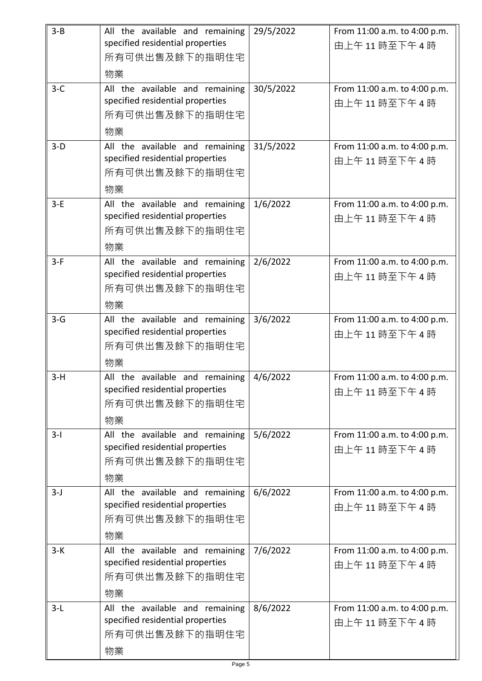| $3 - B$ | All the available and remaining<br>specified residential properties<br>所有可供出售及餘下的指明住宅<br>物業 | 29/5/2022 | From 11:00 a.m. to 4:00 p.m.<br>由上午11時至下午4時 |
|---------|---------------------------------------------------------------------------------------------|-----------|---------------------------------------------|
| $3-C$   | All the available and remaining<br>specified residential properties<br>所有可供出售及餘下的指明住宅<br>物業 | 30/5/2022 | From 11:00 a.m. to 4:00 p.m.<br>由上午11時至下午4時 |
| $3-D$   | All the available and remaining<br>specified residential properties<br>所有可供出售及餘下的指明住宅<br>物業 | 31/5/2022 | From 11:00 a.m. to 4:00 p.m.<br>由上午11時至下午4時 |
| $3-E$   | All the available and remaining<br>specified residential properties<br>所有可供出售及餘下的指明住宅<br>物業 | 1/6/2022  | From 11:00 a.m. to 4:00 p.m.<br>由上午11時至下午4時 |
| $3-F$   | All the available and remaining<br>specified residential properties<br>所有可供出售及餘下的指明住宅<br>物業 | 2/6/2022  | From 11:00 a.m. to 4:00 p.m.<br>由上午11時至下午4時 |
| $3-G$   | All the available and remaining<br>specified residential properties<br>所有可供出售及餘下的指明住宅<br>物業 | 3/6/2022  | From 11:00 a.m. to 4:00 p.m.<br>由上午11時至下午4時 |
| $3-H$   | All the available and remaining<br>specified residential properties<br>所有可供出售及餘下的指明住宅<br>物業 | 4/6/2022  | From 11:00 a.m. to 4:00 p.m.<br>由上午11時至下午4時 |
| $3-I$   | All the available and remaining<br>specified residential properties<br>所有可供出售及餘下的指明住宅<br>物業 | 5/6/2022  | From 11:00 a.m. to 4:00 p.m.<br>由上午11時至下午4時 |
| $3-J$   | All the available and remaining<br>specified residential properties<br>所有可供出售及餘下的指明住宅<br>物業 | 6/6/2022  | From 11:00 a.m. to 4:00 p.m.<br>由上午11時至下午4時 |
| $3-K$   | All the available and remaining<br>specified residential properties<br>所有可供出售及餘下的指明住宅<br>物業 | 7/6/2022  | From 11:00 a.m. to 4:00 p.m.<br>由上午11時至下午4時 |
| $3-L$   | All the available and remaining<br>specified residential properties<br>所有可供出售及餘下的指明住宅<br>物業 | 8/6/2022  | From 11:00 a.m. to 4:00 p.m.<br>由上午11時至下午4時 |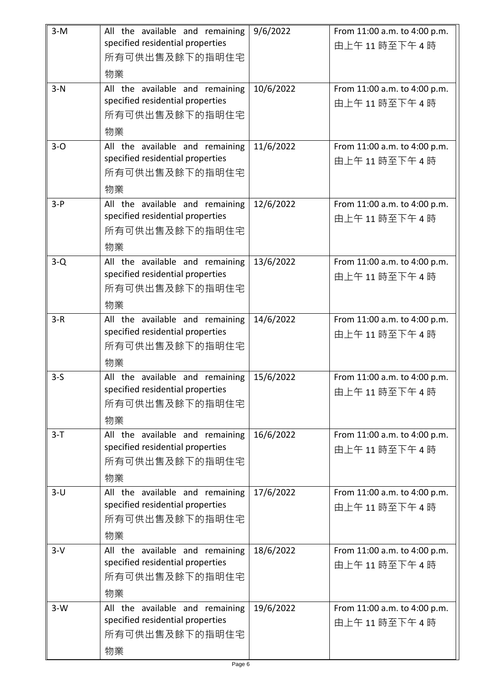| $3-M$ | All the available and remaining<br>specified residential properties<br>所有可供出售及餘下的指明住宅<br>物業 | 9/6/2022  | From 11:00 a.m. to 4:00 p.m.<br>由上午11時至下午4時 |
|-------|---------------------------------------------------------------------------------------------|-----------|---------------------------------------------|
| $3-N$ | All the available and remaining<br>specified residential properties<br>所有可供出售及餘下的指明住宅<br>物業 | 10/6/2022 | From 11:00 a.m. to 4:00 p.m.<br>由上午11時至下午4時 |
| $3-0$ | All the available and remaining<br>specified residential properties<br>所有可供出售及餘下的指明住宅<br>物業 | 11/6/2022 | From 11:00 a.m. to 4:00 p.m.<br>由上午11時至下午4時 |
| $3-P$ | All the available and remaining<br>specified residential properties<br>所有可供出售及餘下的指明住宅<br>物業 | 12/6/2022 | From 11:00 a.m. to 4:00 p.m.<br>由上午11時至下午4時 |
| $3-Q$ | All the available and remaining<br>specified residential properties<br>所有可供出售及餘下的指明住宅<br>物業 | 13/6/2022 | From 11:00 a.m. to 4:00 p.m.<br>由上午11時至下午4時 |
| $3-R$ | All the available and remaining<br>specified residential properties<br>所有可供出售及餘下的指明住宅<br>物業 | 14/6/2022 | From 11:00 a.m. to 4:00 p.m.<br>由上午11時至下午4時 |
| $3-5$ | All the available and remaining<br>specified residential properties<br>所有可供出售及餘下的指明住宅<br>物業 | 15/6/2022 | From 11:00 a.m. to 4:00 p.m.<br>由上午11時至下午4時 |
| $3-T$ | All the available and remaining<br>specified residential properties<br>所有可供出售及餘下的指明住宅<br>物業 | 16/6/2022 | From 11:00 a.m. to 4:00 p.m.<br>由上午11時至下午4時 |
| $3-U$ | All the available and remaining<br>specified residential properties<br>所有可供出售及餘下的指明住宅<br>物業 | 17/6/2022 | From 11:00 a.m. to 4:00 p.m.<br>由上午11時至下午4時 |
| $3-V$ | All the available and remaining<br>specified residential properties<br>所有可供出售及餘下的指明住宅<br>物業 | 18/6/2022 | From 11:00 a.m. to 4:00 p.m.<br>由上午11時至下午4時 |
| $3-W$ | All the available and remaining<br>specified residential properties<br>所有可供出售及餘下的指明住宅<br>物業 | 19/6/2022 | From 11:00 a.m. to 4:00 p.m.<br>由上午11時至下午4時 |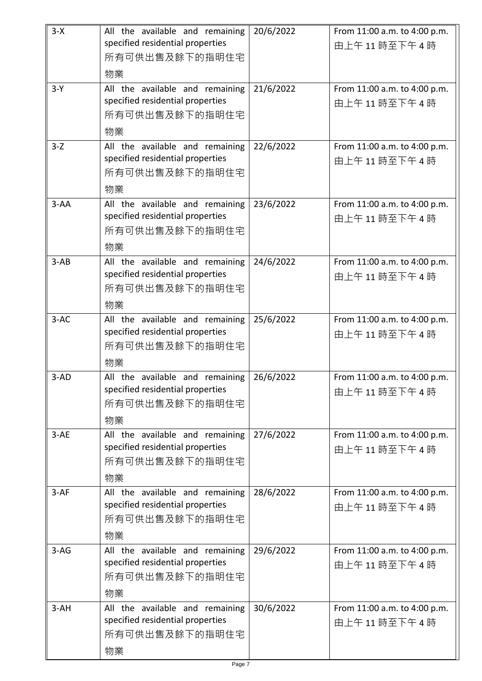| $3-X$    | All the available and remaining<br>specified residential properties<br>所有可供出售及餘下的指明住宅<br>物業 | 20/6/2022 | From 11:00 a.m. to 4:00 p.m.<br>由上午11時至下午4時 |
|----------|---------------------------------------------------------------------------------------------|-----------|---------------------------------------------|
| $3-Y$    | All the available and remaining<br>specified residential properties<br>所有可供出售及餘下的指明住宅<br>物業 | 21/6/2022 | From 11:00 a.m. to 4:00 p.m.<br>由上午11時至下午4時 |
| $3-Z$    | All the available and remaining<br>specified residential properties<br>所有可供出售及餘下的指明住宅<br>物業 | 22/6/2022 | From 11:00 a.m. to 4:00 p.m.<br>由上午11時至下午4時 |
| $3 - AA$ | All the available and remaining<br>specified residential properties<br>所有可供出售及餘下的指明住宅<br>物業 | 23/6/2022 | From 11:00 a.m. to 4:00 p.m.<br>由上午11時至下午4時 |
| $3-AB$   | All the available and remaining<br>specified residential properties<br>所有可供出售及餘下的指明住宅<br>物業 | 24/6/2022 | From 11:00 a.m. to 4:00 p.m.<br>由上午11時至下午4時 |
| $3-AC$   | All the available and remaining<br>specified residential properties<br>所有可供出售及餘下的指明住宅<br>物業 | 25/6/2022 | From 11:00 a.m. to 4:00 p.m.<br>由上午11時至下午4時 |
| $3-AD$   | All the available and remaining<br>specified residential properties<br>所有可供出售及餘下的指明住宅<br>物業 | 26/6/2022 | From 11:00 a.m. to 4:00 p.m.<br>由上午11時至下午4時 |
| $3-AE$   | All the available and remaining<br>specified residential properties<br>所有可供出售及餘下的指明住宅<br>物業 | 27/6/2022 | From 11:00 a.m. to 4:00 p.m.<br>由上午11時至下午4時 |
| $3-AF$   | All the available and remaining<br>specified residential properties<br>所有可供出售及餘下的指明住宅<br>物業 | 28/6/2022 | From 11:00 a.m. to 4:00 p.m.<br>由上午11時至下午4時 |
| $3-AG$   | All the available and remaining<br>specified residential properties<br>所有可供出售及餘下的指明住宅<br>物業 | 29/6/2022 | From 11:00 a.m. to 4:00 p.m.<br>由上午11時至下午4時 |
| $3-AH$   | All the available and remaining<br>specified residential properties<br>所有可供出售及餘下的指明住宅<br>物業 | 30/6/2022 | From 11:00 a.m. to 4:00 p.m.<br>由上午11時至下午4時 |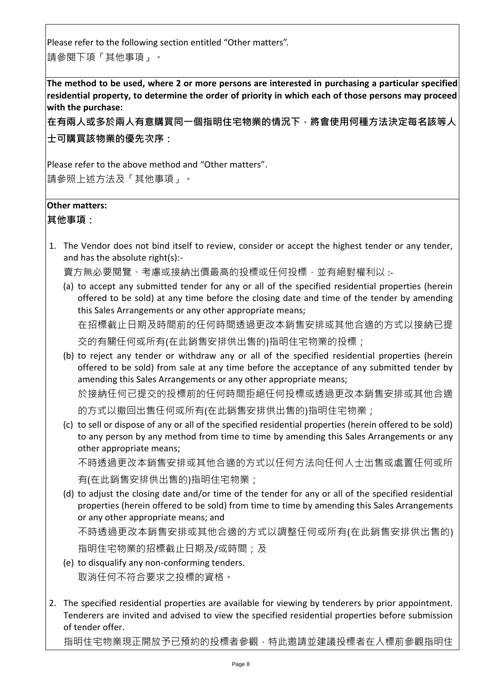Please refer to the following section entitled "Other matters". 請參閱下項「其他事項」。

**The method to be used, where 2 or more persons are interested in purchasing a particular specified residential property, to determine the order of priority in which each of those persons may proceed with the purchase:**

**在有兩人或多於兩人有意購買同一個指明住宅物業的情況下,將會使用何種方法決定每名該等人 士可購買該物業的優先次序:**

Please refer to the above method and "Other matters". 請參照上述方法及「其他事項」。

## **Other matters:**

**其他事項:**

1. The Vendor does not bind itself to review, consider or accept the highest tender or any tender, and has the absolute right(s):-

賣方無必要閱覽、考慮或接納出價最高的投標或任何投標, 並有絕對權利以 :-

(a) to accept any submitted tender for any or all of the specified residential properties (herein offered to be sold) at any time before the closing date and time of the tender by amending this Sales Arrangements or any other appropriate means; 在招標截止日期及時間前的任何時間透過更改本銷售安排或其他合適的方式以接納已提

交的有關任何或所有(在此銷售安排供出售的)指明住宅物業的投標;

(b) to reject any tender or withdraw any or all of the specified residential properties (herein offered to be sold) from sale at any time before the acceptance of any submitted tender by amending this Sales Arrangements or any other appropriate means;

於接納任何已提交的投標前的任何時間拒絕任何投標或透過更改本銷售安排或其他合適

的方式以撤回出售任何或所有(在此銷售安排供出售的)指明住宅物業;

(c) to sell or dispose of any or all of the specified residential properties (herein offered to be sold) to any person by any method from time to time by amending this Sales Arrangements or any other appropriate means;

不時透過更改本銷售安排或其他合適的方式以任何方法向任何人士出售或處置任何或所 有(在此銷售安排供出售的)指明住宅物業;

- (d) to adjust the closing date and/or time of the tender for any or all of the specified residential properties (herein offered to be sold) from time to time by amending this Sales Arrangements or any other appropriate means; and 不時透過更改本銷售安排或其他合適的方式以調整任何或所有(在此銷售安排供出售的) 指明住宅物業的招標截止日期及/或時間;及
- (e) to disqualify any non-conforming tenders. 取消任何不符合要求之投標的資格。
- 2. The specified residential properties are available for viewing by tenderers by prior appointment. Tenderers are invited and advised to view the specified residential properties before submission of tender offer.

指明住宅物業現正開放予已預約的投標者參觀,特此邀請並建議投標者在入標前參觀指明住